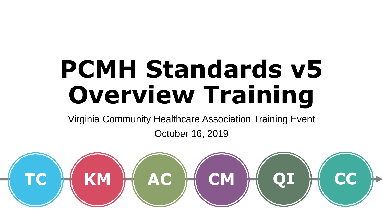# **PCMH Standards v5 Overview Training**

Virginia Community Healthcare Association Training Event

October 16, 2019

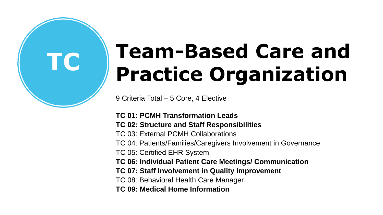# **TC Team-Based Care and Practice Organization**

9 Criteria Total – 5 Core, 4 Elective

#### **TC 01: PCMH Transformation Leads**

#### **TC 02: Structure and Staff Responsibilities**

- TC 03: External PCMH Collaborations
- TC 04: Patients/Families/Caregivers Involvement in Governance
- TC 05: Certified EHR System
- **TC 06: Individual Patient Care Meetings/ Communication**
- **TC 07: Staff Involvement in Quality Improvement**
- TC 08: Behavioral Health Care Manager
- **TC 09: Medical Home Information**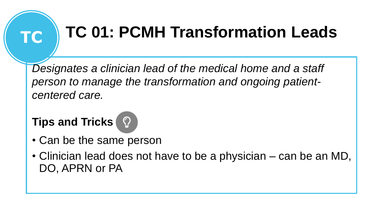# **TC TC 01: PCMH Transformation Leads**

*Designates a clinician lead of the medical home and a staff person to manage the transformation and ongoing patientcentered care.* 



- Can be the same person
- Clinician lead does not have to be a physician can be an MD, DO, APRN or PA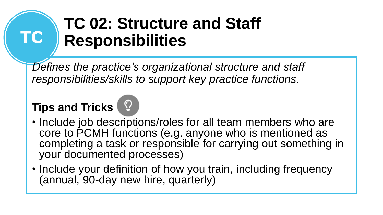# **TC 02: Structure and Staff Responsibilities**

*Defines the practice's organizational structure and staff responsibilities/skills to support key practice functions.*

### **Tips and Tricks**

**TC**



• Include your definition of how you train, including frequency (annual, 90-day new hire, quarterly)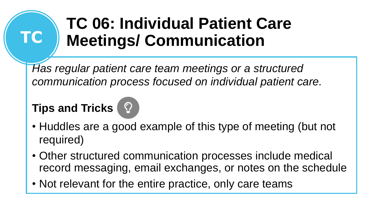# **TC 06: Individual Patient Care Meetings/ Communication**

*Has regular patient care team meetings or a structured communication process focused on individual patient care.*

### **Tips and Tricks**

**TC**



- Other structured communication processes include medical record messaging, email exchanges, or notes on the schedule
- Not relevant for the entire practice, only care teams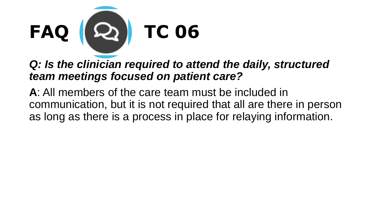

### **Q: Is the clinician required to attend the daily, structured** *team meetings focused on patient care?*

**A**: All members of the care team must be included in communication, but it is not required that all are there in person as long as there is a process in place for relaying information.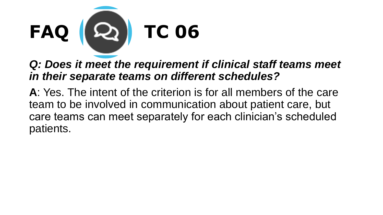

### *Q: Does it meet the requirement if clinical staff teams meet in their separate teams on different schedules?*

**A**: Yes. The intent of the criterion is for all members of the care team to be involved in communication about patient care, but care teams can meet separately for each clinician's scheduled patients.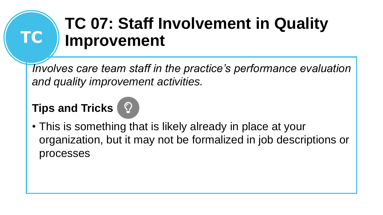## **TC 07: Staff Involvement in Quality Improvement**

*Involves care team staff in the practice's performance evaluation and quality improvement activities.*

### **Tips and Tricks**

**TC**

• This is something that is likely already in place at your organization, but it may not be formalized in job descriptions or processes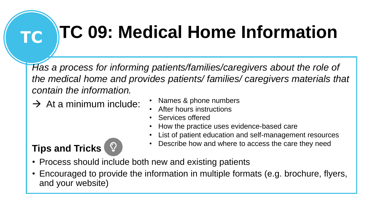# **TC TC 09: Medical Home Information**

*Has a process for informing patients/families/caregivers about the role of the medical home and provides patients/ families/ caregivers materials that contain the information.* 

 $\rightarrow$  At a minimum include:

- Names & phone numbers
- After hours instructions
- Services offered
- How the practice uses evidence-based care
- List of patient education and self-management resources
- Describe how and where to access the care they need

- Process should include both new and existing patients
- Encouraged to provide the information in multiple formats (e.g. brochure, flyers, and your website)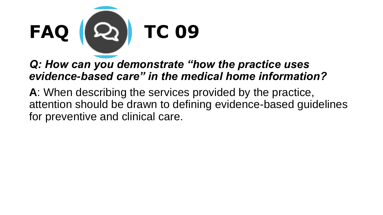

### *Q: How can you demonstrate "how the practice uses evidence-based care" in the medical home information?*

**A**: When describing the services provided by the practice, attention should be drawn to defining evidence-based guidelines for preventive and clinical care.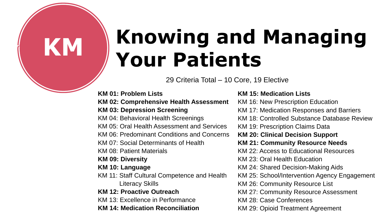# **KM Knowing and Managing Your Patients**

29 Criteria Total – 10 Core, 19 Elective

**KM 01: Problem Lists KM 02: Comprehensive Health Assessment KM 03: Depression Screening**  KM 04: Behavioral Health Screenings KM 05: Oral Health Assessment and Services KM 06: Predominant Conditions and Concerns KM 07: Social Determinants of Health KM 08: Patient Materials **KM 09: Diversity KM 10: Language**  KM 11: Staff Cultural Competence and Health Literacy Skills **KM 12: Proactive Outreach**  KM 13: Excellence in Performance

**KM 14: Medication Reconciliation** 

**KM 15: Medication Lists** 

- KM 16: New Prescription Education
- KM 17: Medication Responses and Barriers
- KM 18: Controlled Substance Database Review
- KM 19: Prescription Claims Data
- **KM 20: Clinical Decision Support**
- **KM 21: Community Resource Needs**
- KM 22: Access to Educational Resources
- KM 23: Oral Health Education
- KM 24: Shared Decision-Making Aids
- KM 25: School/Intervention Agency Engagement
- KM 26: Community Resource List
- KM 27: Community Resource Assessment
- KM 28: Case Conferences
- KM 29: Opioid Treatment Agreement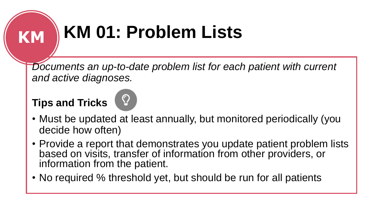# **KM KM 01: Problem Lists**

Documents an up-to-date problem list for each patient with current *and active diagnoses.*



- Must be updated at least annually, but monitored periodically (you decide how often)
- Provide a report that demonstrates you update patient problem lists based on visits, transfer of information from other providers, or information from the patient.
- No required % threshold yet, but should be run for all patients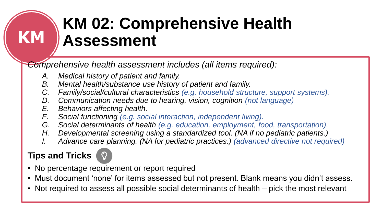# **KM 02: Comprehensive Health Assessment**

*Comprehensive health assessment includes (all items required):* 

- *A. Medical history of patient and family.*
- *B. Mental health/substance use history of patient and family.*
- *C. Family/social/cultural characteristics (e.g. household structure, support systems).*
- *D. Communication needs due to hearing, vision, cognition (not language)*
- *E. Behaviors affecting health.*
- *F. Social functioning (e.g. social interaction, independent living).*
- *G. Social determinants of health (e.g. education, employment, food, transportation).*
- *H. Developmental screening using a standardized tool. (NA if no pediatric patients.)*
- *I. Advance care planning. (NA for pediatric practices.) (advanced directive not required)*

### **Tips and Tricks**

**KM**

- No percentage requirement or report required
- Must document 'none' for items assessed but not present. Blank means you didn't assess.
- Not required to assess all possible social determinants of health pick the most relevant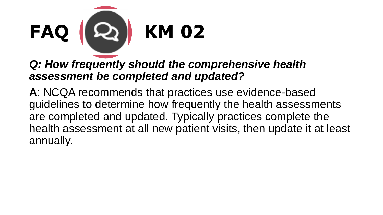

### *Q: How frequently should the comprehensive health assessment be completed and updated?*

**A**: NCQA recommends that practices use evidence-based guidelines to determine how frequently the health assessments are completed and updated. Typically practices complete the health assessment at all new patient visits, then update it at least annually.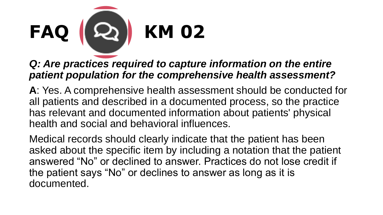

#### **Q: Are practices required to capture information on the entire** *patient population for the comprehensive health assessment?*

**A**: Yes. A comprehensive health assessment should be conducted for all patients and described in a documented process, so the practice has relevant and documented information about patients' physical health and social and behavioral influences.

Medical records should clearly indicate that the patient has been asked about the specific item by including a notation that the patient answered "No" or declined to answer. Practices do not lose credit if the patient says "No" or declines to answer as long as it is documented.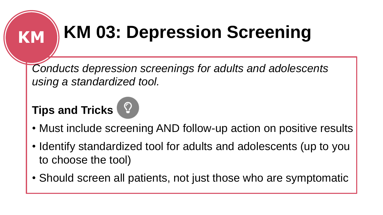# **KM KM 03: Depression Screening**

*Conducts depression screenings for adults and adolescents using a standardized tool.*

- Must include screening AND follow-up action on positive results
- Identify standardized tool for adults and adolescents (up to you to choose the tool)
- Should screen all patients, not just those who are symptomatic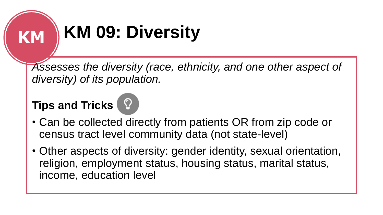# **KM KM 09: Diversity**

*Assesses the diversity (race, ethnicity, and one other aspect of diversity) of its population.*

- Can be collected directly from patients OR from zip code or census tract level community data (not state-level)
- Other aspects of diversity: gender identity, sexual orientation, religion, employment status, housing status, marital status, income, education level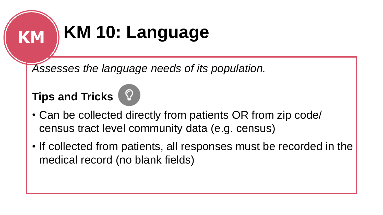# **KM KM 10: Language**

*Assesses the language needs of its population.*

### **Tips and Tricks**



• If collected from patients, all responses must be recorded in the medical record (no blank fields)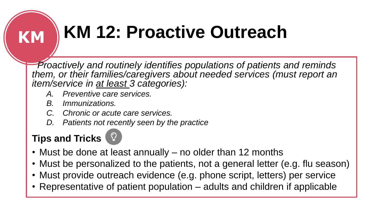# **KM KM 12: Proactive Outreach**

*Proactively and routinely identifies populations of patients and reminds them, or their families/caregivers about needed services (must report an item/service in at least 3 categories):* 

- *A. Preventive care services.*
- *B. Immunizations.*
- *C. Chronic or acute care services.*
- *D. Patients not recently seen by the practice*

- Must be done at least annually no older than 12 months
- Must be personalized to the patients, not a general letter (e.g. flu season)
- Must provide outreach evidence (e.g. phone script, letters) per service
- Representative of patient population adults and children if applicable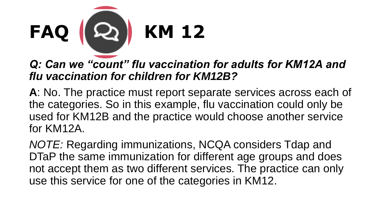

### *Q: Can we "count" flu vaccination for adults for KM12A and flu vaccination for children for KM12B?*

**A**: No. The practice must report separate services across each of the categories. So in this example, flu vaccination could only be used for KM12B and the practice would choose another service for KM12A.

*NOTE:* Regarding immunizations, NCQA considers Tdap and DTaP the same immunization for different age groups and does not accept them as two different services. The practice can only use this service for one of the categories in KM12.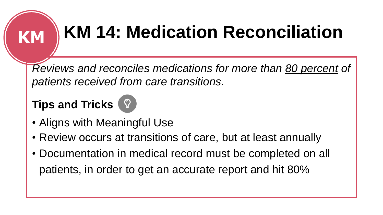# **KM KM 14: Medication Reconciliation**

*Reviews and reconciles medications for more than 80 percent of patients received from care transitions.*



- Aligns with Meaningful Use
- Review occurs at transitions of care, but at least annually
- Documentation in medical record must be completed on all patients, in order to get an accurate report and hit 80%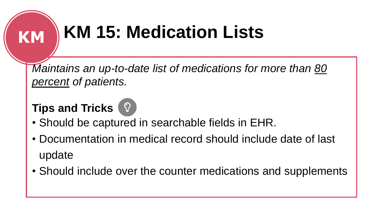# **KM KM 15: Medication Lists**

*Maintains an up-to-date list of medications for more than 80 percent of patients.*

- Should be captured in searchable fields in EHR.
- Documentation in medical record should include date of last update
- Should include over the counter medications and supplements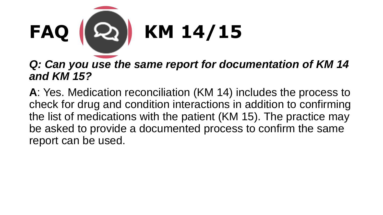

### *Q: Can you use the same report for documentation of KM 14 and KM 15?*

**A**: Yes. Medication reconciliation (KM 14) includes the process to check for drug and condition interactions in addition to confirming the list of medications with the patient (KM 15). The practice may be asked to provide a documented process to confirm the same report can be used.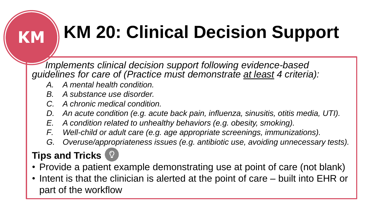# **KM KM 20: Clinical Decision Support**

*Implements clinical decision support following evidence-based guidelines for care of (Practice must demonstrate at least 4 criteria):* 

- *A. A mental health condition.*
- *B. A substance use disorder.*
- *C. A chronic medical condition.*
- *D. An acute condition (e.g. acute back pain, influenza, sinusitis, otitis media, UTI).*
- *E. A condition related to unhealthy behaviors (e.g. obesity, smoking).*
- *F. Well-child or adult care (e.g. age appropriate screenings, immunizations).*
- *G. Overuse/appropriateness issues (e.g. antibiotic use, avoiding unnecessary tests).*

- Provide a patient example demonstrating use at point of care (not blank)
- Intent is that the clinician is alerted at the point of care built into EHR or part of the workflow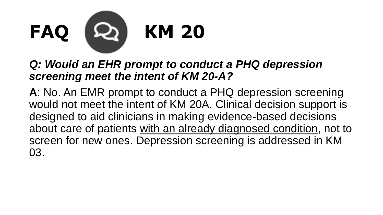

### *Q: Would an EHR prompt to conduct a PHQ depression screening meet the intent of KM 20-A?*

**A**: No. An EMR prompt to conduct a PHQ depression screening would not meet the intent of KM 20A. Clinical decision support is designed to aid clinicians in making evidence-based decisions about care of patients with an already diagnosed condition, not to screen for new ones. Depression screening is addressed in KM 03.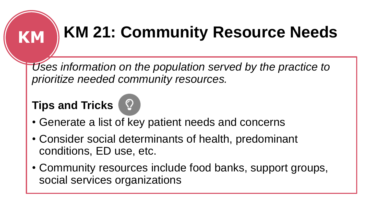# **KM KM 21: Community Resource Needs**

*Uses information on the population served by the practice to prioritize needed community resources.*



- Generate a list of key patient needs and concerns
- Consider social determinants of health, predominant conditions, ED use, etc.
- Community resources include food banks, support groups, social services organizations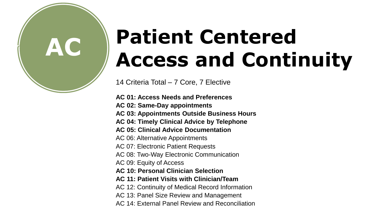# **AC Patient Centered Access and Continuity**

14 Criteria Total – 7 Core, 7 Elective

**AC 01: Access Needs and Preferences** 

**AC 02: Same-Day appointments** 

**AC 03: Appointments Outside Business Hours** 

- **AC 04: Timely Clinical Advice by Telephone**
- **AC 05: Clinical Advice Documentation**

AC 06: Alternative Appointments

AC 07: Electronic Patient Requests

- AC 08: Two-Way Electronic Communication
- AC 09: Equity of Access
- **AC 10: Personal Clinician Selection**
- **AC 11: Patient Visits with Clinician/Team**
- AC 12: Continuity of Medical Record Information
- AC 13: Panel Size Review and Management
- AC 14: External Panel Review and Reconciliation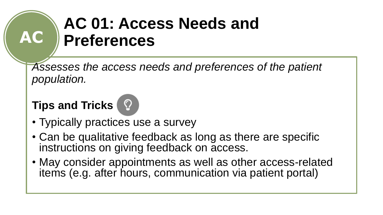### **AC 01: Access Needs and Preferences**

*Assesses the access needs and preferences of the patient population.*

### **Tips and Tricks**

**AC**

- Typically practices use a survey
- Can be qualitative feedback as long as there are specific instructions on giving feedback on access.
- May consider appointments as well as other access-related items (e.g. after hours, communication via patient portal)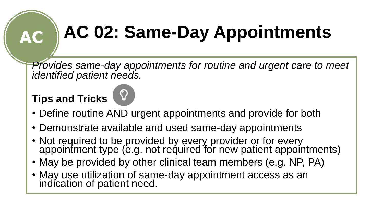# **AC AC 02: Same-Day Appointments**

*Provides same-day appointments for routine and urgent care to meet identified patient needs.*



- Demonstrate available and used same-day appointments
- Not required to be provided by every provider or for every appointment type (e.g. not required for new patient appointments)
- May be provided by other clinical team members (e.g. NP, PA)
- May use utilization of same-day appointment access as an indication of patient need.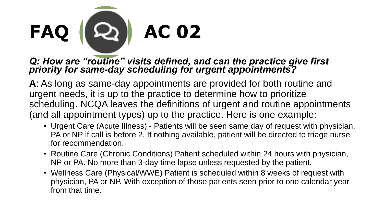

#### *Q: How are "routine" visits defined, and can the practice give first priority for same-day scheduling for urgent appointments?*

**A**: As long as same-day appointments are provided for both routine and urgent needs, it is up to the practice to determine how to prioritize scheduling. NCQA leaves the definitions of urgent and routine appointments (and all appointment types) up to the practice. Here is one example:

- Urgent Care (Acute Illness) Patients will be seen same day of request with physician, PA or NP if call is before 2. If nothing available, patient will be directed to triage nurse for recommendation.
- Routine Care (Chronic Conditions) Patient scheduled within 24 hours with physician, NP or PA. No more than 3-day time lapse unless requested by the patient.
- Wellness Care (Physical/WWE) Patient is scheduled within 8 weeks of request with physician, PA or NP. With exception of those patients seen prior to one calendar year from that time.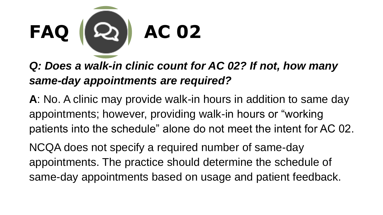

*Q: Does a walk-in clinic count for AC 02? If not, how many same-day appointments are required?* 

**A**: No. A clinic may provide walk-in hours in addition to same day appointments; however, providing walk-in hours or "working patients into the schedule" alone do not meet the intent for AC 02.

NCQA does not specify a required number of same-day appointments. The practice should determine the schedule of same-day appointments based on usage and patient feedback.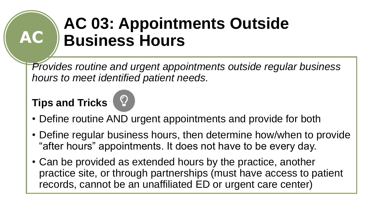## **AC 03: Appointments Outside Business Hours**

*Provides routine and urgent appointments outside regular business hours to meet identified patient needs.*

### **Tips and Tricks**

**AC**



- Define routine AND urgent appointments and provide for both
- Define regular business hours, then determine how/when to provide "after hours" appointments. It does not have to be every day.
- Can be provided as extended hours by the practice, another practice site, or through partnerships (must have access to patient records, cannot be an unaffiliated ED or urgent care center)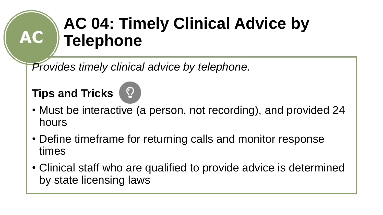# **AC 04: Timely Clinical Advice by Telephone**

*Provides timely clinical advice by telephone.*

### **Tips and Tricks**

**AC**



- Must be interactive (a person, not recording), and provided 24 hours
- Define timeframe for returning calls and monitor response times
- Clinical staff who are qualified to provide advice is determined by state licensing laws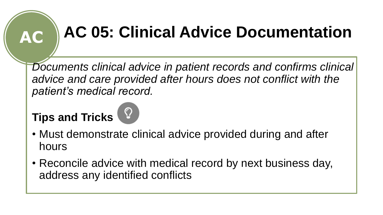# **AC AC 05: Clinical Advice Documentation**

*Documents clinical advice in patient records and confirms clinical advice and care provided after hours does not conflict with the patient's medical record.*



- Must demonstrate clinical advice provided during and after hours
- Reconcile advice with medical record by next business day, address any identified conflicts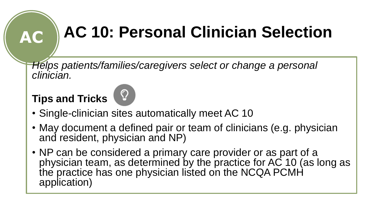# **AC AC 10: Personal Clinician Selection**

*Helps patients/families/caregivers select or change a personal clinician.*



- Single-clinician sites automatically meet AC 10
- May document a defined pair or team of clinicians (e.g. physician and resident, physician and NP)
- NP can be considered a primary care provider or as part of a physician team, as determined by the practice for AC 10 (as long as the practice has one physician listed on the NCQA PCMH application)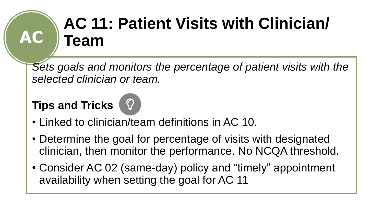### **AC 11: Patient Visits with Clinician/ Team**

*Sets goals and monitors the percentage of patient visits with the selected clinician or team.*

### **Tips and Tricks**

**AC**



- Determine the goal for percentage of visits with designated clinician, then monitor the performance. No NCQA threshold.
- Consider AC 02 (same-day) policy and "timely" appointment availability when setting the goal for AC 11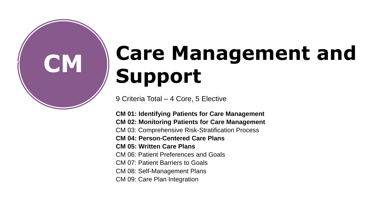

# **CM Care Management and Support**

9 Criteria Total – 4 Core, 5 Elective

**CM 01: Identifying Patients for Care Management CM 02: Monitoring Patients for Care Management** CM 03: Comprehensive Risk-Stratification Process **CM 04: Person-Centered Care Plans CM 05: Written Care Plans** CM 06: Patient Preferences and Goals CM 07: Patient Barriers to Goals CM 08: Self-Management Plans CM 09: Care Plan Integration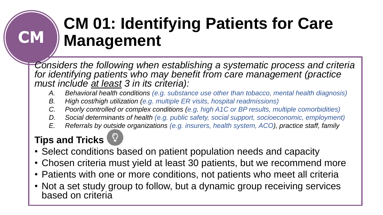# **CM 01: Identifying Patients for Care Management**

*Considers the following when establishing a systematic process and criteria for identifying patients who may benefit from care management (practice must include at least 3 in its criteria):* 

- *A. Behavioral health conditions (e.g. substance use other than tobacco, mental health diagnosis)*
- *B. High cost/high utilization (e.g. multiple ER visits, hospital readmissions)*
- *C. Poorly controlled or complex conditions (e.g. high A1C or BP results, multiple comorbidities)*
- *D. Social determinants of health (e.g. public safety, social support, socioeconomic, employment)*
- *E. Referrals by outside organizations (e.g. insurers, health system, ACO), practice staff, family*

### **Tips and Tricks**

**CM**

- Select conditions based on patient population needs and capacity
- Chosen criteria must yield at least 30 patients, but we recommend more
- Patients with one or more conditions, not patients who meet all criteria
- Not a set study group to follow, but a dynamic group receiving services based on criteria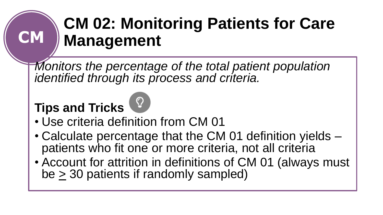## **CM 02: Monitoring Patients for Care Management**

*Monitors the percentage of the total patient population identified through its process and criteria.*

### **Tips and Tricks**

**CM**



- Calculate percentage that the CM 01 definition yields patients who fit one or more criteria, not all criteria
- Account for attrition in definitions of CM 01 (always must be  $\geq$  30 patients if randomly sampled)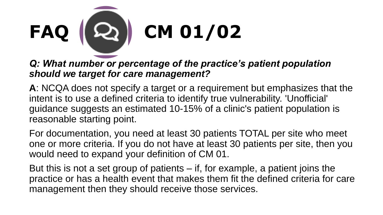

#### *Q: What number or percentage of the practice's patient population should we target for care management?*

**A**: NCQA does not specify a target or a requirement but emphasizes that the intent is to use a defined criteria to identify true vulnerability. 'Unofficial' guidance suggests an estimated 10-15% of a clinic's patient population is reasonable starting point.

For documentation, you need at least 30 patients TOTAL per site who meet one or more criteria. If you do not have at least 30 patients per site, then you would need to expand your definition of CM 01.

But this is not a set group of patients – if, for example, a patient joins the practice or has a health event that makes them fit the defined criteria for care management then they should receive those services.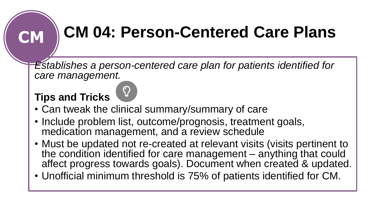# **CM CM 04: Person-Centered Care Plans**

*Establishes a person-centered care plan for patients identified for care management.*



- Include problem list, outcome/prognosis, treatment goals, medication management, and a review schedule
- Must be updated not re-created at relevant visits (visits pertinent to the condition identified for care management – anything that could affect progress towards goals). Document when created & updated.
- Unofficial minimum threshold is 75% of patients identified for CM.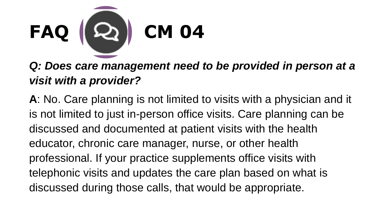

*Q: Does care management need to be provided in person at a visit with a provider?* 

**A**: No. Care planning is not limited to visits with a physician and it is not limited to just in-person office visits. Care planning can be discussed and documented at patient visits with the health educator, chronic care manager, nurse, or other health professional. If your practice supplements office visits with telephonic visits and updates the care plan based on what is discussed during those calls, that would be appropriate.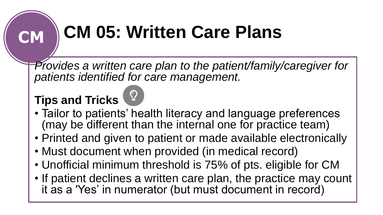# **CM CM 05: Written Care Plans**

*Provides a written care plan to the patient/family/caregiver for patients identified for care management.*



- Printed and given to patient or made available electronically
- Must document when provided (in medical record)
- Unofficial minimum threshold is 75% of pts. eligible for CM
- If patient declines a written care plan, the practice may count it as a 'Yes' in numerator (but must document in record)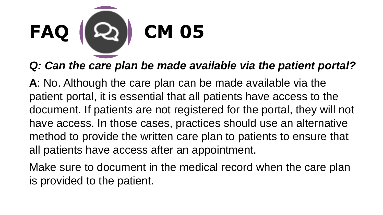

### *Q: Can the care plan be made available via the patient portal?*

**A**: No. Although the care plan can be made available via the patient portal, it is essential that all patients have access to the document. If patients are not registered for the portal, they will not have access. In those cases, practices should use an alternative method to provide the written care plan to patients to ensure that all patients have access after an appointment.

Make sure to document in the medical record when the care plan is provided to the patient.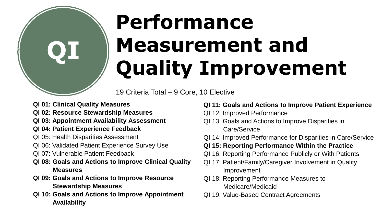

# **Performance Measurement and Quality Improvement**

19 Criteria Total – 9 Core, 10 Elective

**QI 01: Clinical Quality Measures**

- **QI 02: Resource Stewardship Measures**
- **QI 03: Appointment Availability Assessment**
- **QI 04: Patient Experience Feedback**
- QI 05: Health Disparities Assessment
- QI 06: Validated Patient Experience Survey Use
- QI 07: Vulnerable Patient Feedback
- **QI 08: Goals and Actions to Improve Clinical Quality Measures**
- **QI 09: Goals and Actions to Improve Resource Stewardship Measures**
- **QI 10: Goals and Actions to Improve Appointment Availability**

#### **QI 11: Goals and Actions to Improve Patient Experience**

- QI 12: Improved Performance
- QI 13: Goals and Actions to Improve Disparities in Care/Service
- QI 14: Improved Performance for Disparities in Care/Service

#### **QI 15: Reporting Performance Within the Practice**

- QI 16: Reporting Performance Publicly or With Patients
- QI 17: Patient/Family/Caregiver Involvement in Quality Improvement
- QI 18: Reporting Performance Measures to Medicare/Medicaid
- QI 19: Value-Based Contract Agreements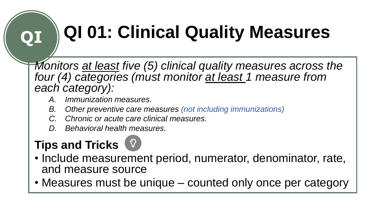# **QI QI 01: Clinical Quality Measures**

*Monitors at least five (5) clinical quality measures across the four (4) categories (must monitor at least 1 measure from each category):*

- *A. Immunization measures.*
- *B. Other preventive care measures (not including immunizations)*
- *C. Chronic or acute care clinical measures.*
- *D. Behavioral health measures.*

- Include measurement period, numerator, denominator, rate, and measure source
- Measures must be unique counted only once per category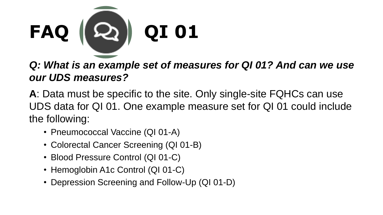

#### **Q: What is an example set of measures for QI 01? And can we use** *our UDS measures?*

**A**: Data must be specific to the site. Only single-site FQHCs can use UDS data for QI 01. One example measure set for QI 01 could include the following:

- Pneumococcal Vaccine (QI 01-A)
- Colorectal Cancer Screening (QI 01-B)
- Blood Pressure Control (QI 01-C)
- Hemoglobin A1c Control (QI 01-C)
- Depression Screening and Follow-Up (QI 01-D)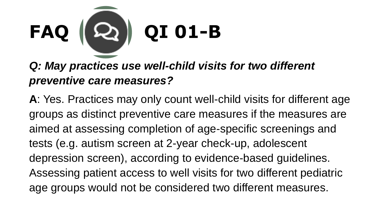

### *Q: May practices use well-child visits for two different preventive care measures?*

**A**: Yes. Practices may only count well-child visits for different age groups as distinct preventive care measures if the measures are aimed at assessing completion of age-specific screenings and tests (e.g. autism screen at 2-year check-up, adolescent depression screen), according to evidence-based guidelines. Assessing patient access to well visits for two different pediatric age groups would not be considered two different measures.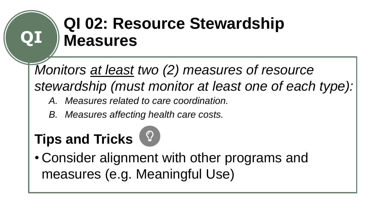# **QI 02: Resource Stewardship Measures**

*Monitors at least two (2) measures of resource stewardship (must monitor at least one of each type):*

- *A. Measures related to care coordination.*
- *B. Measures affecting health care costs.*

### **Tips and Tricks**

**QI**

• Consider alignment with other programs and measures (e.g. Meaningful Use)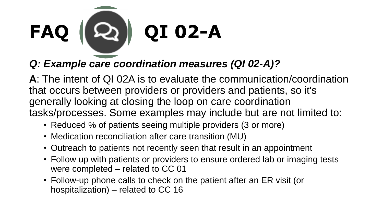

### *Q: Example care coordination measures (QI 02-A)?*

**A**: The intent of QI 02A is to evaluate the communication/coordination that occurs between providers or providers and patients, so it's generally looking at closing the loop on care coordination tasks/processes. Some examples may include but are not limited to:

- Reduced % of patients seeing multiple providers (3 or more)
- Medication reconciliation after care transition (MU)
- Outreach to patients not recently seen that result in an appointment
- Follow up with patients or providers to ensure ordered lab or imaging tests were completed – related to CC 01
- Follow-up phone calls to check on the patient after an ER visit (or hospitalization) – related to CC 16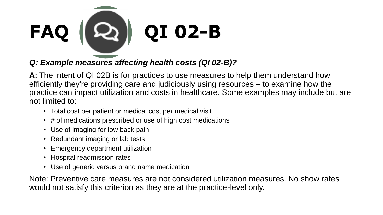

*Q: Example measures affecting health costs (QI 02-B)?* 

**A**: The intent of QI 02B is for practices to use measures to help them understand how efficiently they're providing care and judiciously using resources – to examine how the practice can impact utilization and costs in healthcare. Some examples may include but are not limited to:

- Total cost per patient or medical cost per medical visit
- # of medications prescribed or use of high cost medications
- Use of imaging for low back pain
- Redundant imaging or lab tests
- Emergency department utilization
- Hospital readmission rates
- Use of generic versus brand name medication

Note: Preventive care measures are not considered utilization measures. No show rates would not satisfy this criterion as they are at the practice-level only.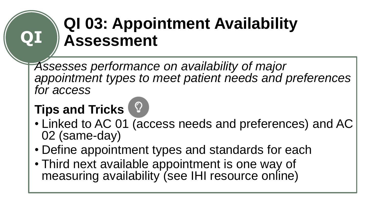## **QI 03: Appointment Availability Assessment**

*Assesses performance on availability of major appointment types to meet patient needs and preferences for access*

### **Tips and Tricks**



- Define appointment types and standards for each
- Third next available appointment is one way of measuring availability (see IHI resource online)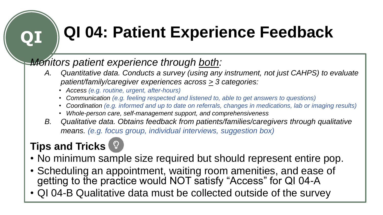# **QI QI 04: Patient Experience Feedback**

### *Monitors patient experience through both:*

- *A. Quantitative data. Conducts a survey (using any instrument, not just CAHPS) to evaluate patient/family/caregiver experiences across > 3 categories:*
	- *Access (e.g. routine, urgent, after-hours)*
	- *Communication (e.g. feeling respected and listened to, able to get answers to questions)*
	- *Coordination (e.g. informed and up to date on referrals, changes in medications, lab or imaging results)*
	- *Whole-person care, self-management support, and comprehensiveness*
- *B. Qualitative data. Obtains feedback from patients/families/caregivers through qualitative means. (e.g. focus group, individual interviews, suggestion box)*

- No minimum sample size required but should represent entire pop.
- Scheduling an appointment, waiting room amenities, and ease of getting to the practice would NOT satisfy "Access" for QI 04-A
- QI 04-B Qualitative data must be collected outside of the survey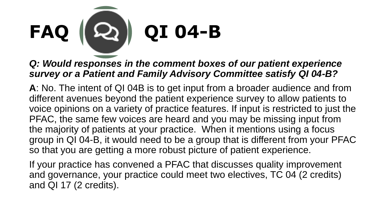

#### *Q: Would responses in the comment boxes of our patient experience survey or a Patient and Family Advisory Committee satisfy QI 04-B?*

**A**: No. The intent of QI 04B is to get input from a broader audience and from different avenues beyond the patient experience survey to allow patients to voice opinions on a variety of practice features. If input is restricted to just the PFAC, the same few voices are heard and you may be missing input from the majority of patients at your practice. When it mentions using a focus group in QI 04-B, it would need to be a group that is different from your PFAC so that you are getting a more robust picture of patient experience.

If your practice has convened a PFAC that discusses quality improvement and governance, your practice could meet two electives, TC 04 (2 credits) and QI 17 (2 credits).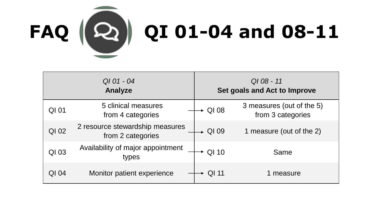

| QI 01 - 04<br>Analyze |                                                      | $Q108 - 11$<br>Set goals and Act to Improve |                                                |
|-----------------------|------------------------------------------------------|---------------------------------------------|------------------------------------------------|
| QI 01                 | 5 clinical measures<br>from 4 categories             | $\blacktriangleright$ QI 08                 | 3 measures (out of the 5)<br>from 3 categories |
| QI 02                 | 2 resource stewardship measures<br>from 2 categories | $\rightarrow$ QI 09                         | 1 measure (out of the 2)                       |
| QI 03                 | Availability of major appointment<br>types           | $\sim$ QI 10                                | Same                                           |
| QI 04                 | Monitor patient experience                           | QI 11                                       | 1 measure                                      |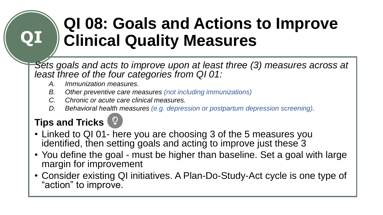# **QI 08: Goals and Actions to Improve Clinical Quality Measures**

*Sets goals and acts to improve upon at least three (3) measures across at least three of the four categories from QI 01:* 

- *A. Immunization measures.*
- *B. Other preventive care measures (not including immunizations)*
- *C. Chronic or acute care clinical measures.*
- *D. Behavioral health measures (e.g. depression or postpartum depression screening).*

### **Tips and Tricks**

- Linked to QI 01- here you are choosing 3 of the 5 measures you identified, then setting goals and acting to improve just these 3
- You define the goal must be higher than baseline. Set a goal with large margin for improvement
- Consider existing QI initiatives. A Plan-Do-Study-Act cycle is one type of "action" to improve.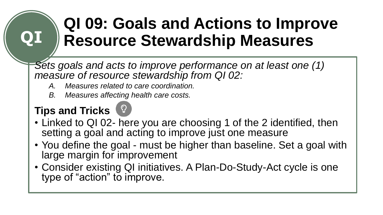## **QI 09: Goals and Actions to Improve Resource Stewardship Measures**

*Sets goals and acts to improve performance on at least one (1) measure of resource stewardship from QI 02:*

- *A. Measures related to care coordination.*
- *B. Measures affecting health care costs.*

### **Tips and Tricks**



- Linked to QI 02- here you are choosing 1 of the 2 identified, then setting a goal and acting to improve just one measure
- You define the goal must be higher than baseline. Set a goal with large margin for improvement
- Consider existing QI initiatives. A Plan-Do-Study-Act cycle is one type of "action" to improve.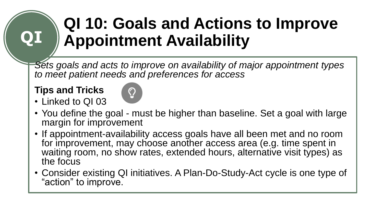# **QI 10: Goals and Actions to Improve Appointment Availability**

*Sets goals and acts to improve on availability of major appointment types to meet patient needs and preferences for access*

#### **Tips and Tricks**



- Linked to QI 03 • You define the goal - must be higher than baseline. Set a goal with large margin for improvement
- If appointment-availability access goals have all been met and no room for improvement, may choose another access area (e.g. time spent in waiting room, no show rates, extended hours, alternative visit types) as the focus
- Consider existing QI initiatives. A Plan-Do-Study-Act cycle is one type of "action" to improve.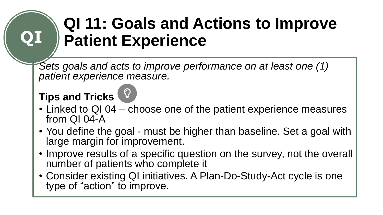## **QI 11: Goals and Actions to Improve Patient Experience**

*Sets goals and acts to improve performance on at least one (1) patient experience measure.* 

### **Tips and Tricks**

- Linked to QI 04 choose one of the patient experience measures from QI 04-A
- You define the goal must be higher than baseline. Set a goal with large margin for improvement.
- Improve results of a specific question on the survey, not the overall number of patients who complete it
- Consider existing QI initiatives. A Plan-Do-Study-Act cycle is one type of "action" to improve.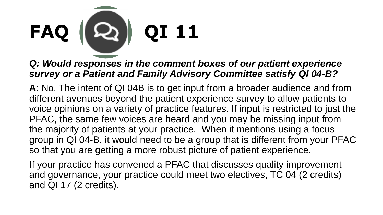

#### *Q: Would responses in the comment boxes of our patient experience survey or a Patient and Family Advisory Committee satisfy QI 04-B?*

**A**: No. The intent of QI 04B is to get input from a broader audience and from different avenues beyond the patient experience survey to allow patients to voice opinions on a variety of practice features. If input is restricted to just the PFAC, the same few voices are heard and you may be missing input from the majority of patients at your practice. When it mentions using a focus group in QI 04-B, it would need to be a group that is different from your PFAC so that you are getting a more robust picture of patient experience.

If your practice has convened a PFAC that discusses quality improvement and governance, your practice could meet two electives, TC 04 (2 credits) and QI 17 (2 credits).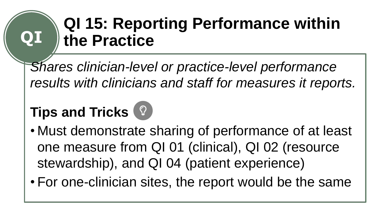### **QI 15: Reporting Performance within the Practice**

*Shares clinician-level or practice-level performance results with clinicians and staff for measures it reports.* 

### **Tips and Tricks** 2

- Must demonstrate sharing of performance of at least one measure from QI 01 (clinical), QI 02 (resource stewardship), and QI 04 (patient experience)
- For one-clinician sites, the report would be the same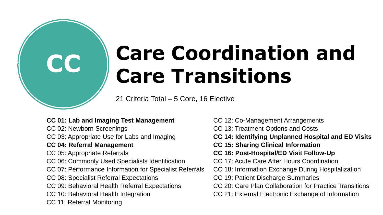# **CC Care Coordination and Care Transitions**

21 Criteria Total – 5 Core, 16 Elective

#### **CC 01: Lab and Imaging Test Management**

CC 02: Newborn Screenings

CC 03: Appropriate Use for Labs and Imaging

#### **CC 04: Referral Management**

CC 05: Appropriate Referrals

- CC 06: Commonly Used Specialists Identification
- CC 07: Performance Information for Specialist Referrals
- CC 08: Specialist Referral Expectations
- CC 09: Behavioral Health Referral Expectations
- CC 10: Behavioral Health Integration
- CC 11: Referral Monitoring
- CC 12: Co-Management Arrangements
- CC 13: Treatment Options and Costs
- **CC 14: Identifying Unplanned Hospital and ED Visits**
- **CC 15: Sharing Clinical Information**
- **CC 16: Post-Hospital/ED Visit Follow-Up**
- CC 17: Acute Care After Hours Coordination
- CC 18: Information Exchange During Hospitalization
- CC 19: Patient Discharge Summaries
- CC 20: Care Plan Collaboration for Practice Transitions
- CC 21: External Electronic Exchange of Information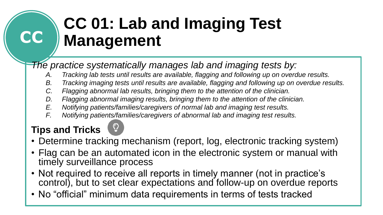# **CC 01: Lab and Imaging Test Management**

*The practice systematically manages lab and imaging tests by:*

- *A. Tracking lab tests until results are available, flagging and following up on overdue results.*
- *B. Tracking imaging tests until results are available, flagging and following up on overdue results.*
- *C. Flagging abnormal lab results, bringing them to the attention of the clinician.*
- *D. Flagging abnormal imaging results, bringing them to the attention of the clinician.*
- *E. Notifying patients/families/caregivers of normal lab and imaging test results.*
- *F. Notifying patients/families/caregivers of abnormal lab and imaging test results.*

### **Tips and Tricks**

**CC**

- Determine tracking mechanism (report, log, electronic tracking system)
- Flag can be an automated icon in the electronic system or manual with timely surveillance process
- Not required to receive all reports in timely manner (not in practice's control), but to set clear expectations and follow-up on overdue reports
- No "official" minimum data requirements in terms of tests tracked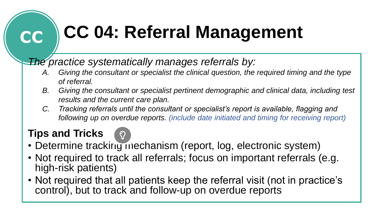# **CC CC 04: Referral Management**

### *The practice systematically manages referrals by:*

- *A. Giving the consultant or specialist the clinical question, the required timing and the type of referral.*
- *B. Giving the consultant or specialist pertinent demographic and clinical data, including test results and the current care plan.*
- *C. Tracking referrals until the consultant or specialist's report is available, flagging and following up on overdue reports. (include date initiated and timing for receiving report)*

- 
- Determine tracking mechanism (report, log, electronic system)
- Not required to track all referrals; focus on important referrals (e.g. high-risk patients)
- Not required that all patients keep the referral visit (not in practice's control), but to track and follow-up on overdue reports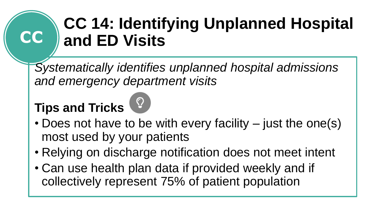## **CC 14: Identifying Unplanned Hospital and ED Visits**

*Systematically identifies unplanned hospital admissions and emergency department visits*

### **Tips and Tricks**

**CC**

- Does not have to be with every facility just the one(s) most used by your patients
- Relying on discharge notification does not meet intent
- Can use health plan data if provided weekly and if collectively represent 75% of patient population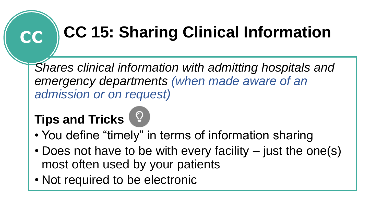# **CC CC 15: Sharing Clinical Information**

*Shares clinical information with admitting hospitals and emergency departments (when made aware of an admission or on request)*

- You define "timely" in terms of information sharing
- Does not have to be with every facility just the one(s) most often used by your patients
- Not required to be electronic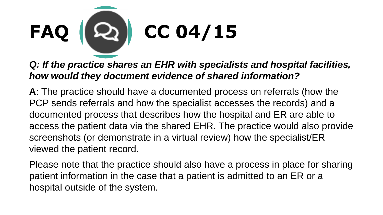

*Q: If the practice shares an EHR with specialists and hospital facilities, how would they document evidence of shared information?* 

**A**: The practice should have a documented process on referrals (how the PCP sends referrals and how the specialist accesses the records) and a documented process that describes how the hospital and ER are able to access the patient data via the shared EHR. The practice would also provide screenshots (or demonstrate in a virtual review) how the specialist/ER viewed the patient record.

Please note that the practice should also have a process in place for sharing patient information in the case that a patient is admitted to an ER or a hospital outside of the system.